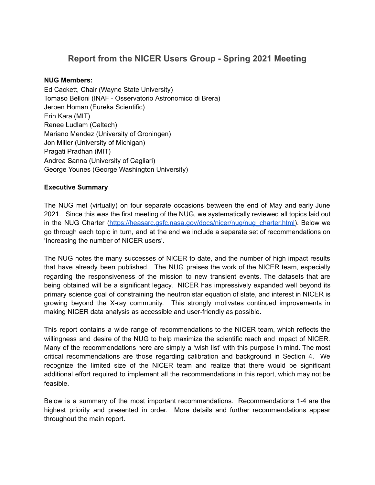# **Report from the NICER Users Group - Spring 2021 Meeting**

#### **NUG Members:**

Ed Cackett, Chair (Wayne State University) Tomaso Belloni (INAF - Osservatorio Astronomico di Brera) Jeroen Homan (Eureka Scientific) Erin Kara (MIT) Renee Ludlam (Caltech) Mariano Mendez (University of Groningen) Jon Miller (University of Michigan) Pragati Pradhan (MIT) Andrea Sanna (University of Cagliari) George Younes (George Washington University)

#### **Executive Summary**

The NUG met (virtually) on four separate occasions between the end of May and early June 2021. Since this was the first meeting of the NUG, we systematically reviewed all topics laid out in the NUG Charter [\(https://heasarc.gsfc.nasa.gov/docs/nicer/nug/nug\\_charter.html\)](https://heasarc.gsfc.nasa.gov/docs/nicer/nug/nug_charter.html). Below we go through each topic in turn, and at the end we include a separate set of recommendations on 'Increasing the number of NICER users'.

The NUG notes the many successes of NICER to date, and the number of high impact results that have already been published. The NUG praises the work of the NICER team, especially regarding the responsiveness of the mission to new transient events. The datasets that are being obtained will be a significant legacy. NICER has impressively expanded well beyond its primary science goal of constraining the neutron star equation of state, and interest in NICER is growing beyond the X-ray community. This strongly motivates continued improvements in making NICER data analysis as accessible and user-friendly as possible.

This report contains a wide range of recommendations to the NICER team, which reflects the willingness and desire of the NUG to help maximize the scientific reach and impact of NICER. Many of the recommendations here are simply a 'wish list' with this purpose in mind. The most critical recommendations are those regarding calibration and background in Section 4. We recognize the limited size of the NICER team and realize that there would be significant additional effort required to implement all the recommendations in this report, which may not be feasible.

Below is a summary of the most important recommendations. Recommendations 1-4 are the highest priority and presented in order. More details and further recommendations appear throughout the main report.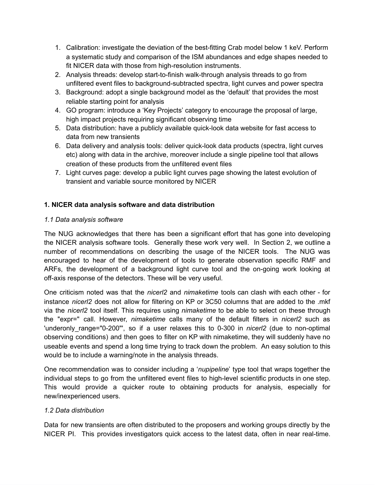- 1. Calibration: investigate the deviation of the best-fitting Crab model below 1 keV. Perform a systematic study and comparison of the ISM abundances and edge shapes needed to fit NICER data with those from high-resolution instruments.
- 2. Analysis threads: develop start-to-finish walk-through analysis threads to go from unfiltered event files to background-subtracted spectra, light curves and power spectra
- 3. Background: adopt a single background model as the 'default' that provides the most reliable starting point for analysis
- 4. GO program: introduce a 'Key Projects' category to encourage the proposal of large, high impact projects requiring significant observing time
- 5. Data distribution: have a publicly available quick-look data website for fast access to data from new transients
- 6. Data delivery and analysis tools: deliver quick-look data products (spectra, light curves etc) along with data in the archive, moreover include a single pipeline tool that allows creation of these products from the unfiltered event files
- 7. Light curves page: develop a public light curves page showing the latest evolution of transient and variable source monitored by NICER

# **1. NICER data analysis software and data distribution**

# *1.1 Data analysis software*

The NUG acknowledges that there has been a significant effort that has gone into developing the NICER analysis software tools. Generally these work very well. In Section 2, we outline a number of recommendations on describing the usage of the NICER tools. The NUG was encouraged to hear of the development of tools to generate observation specific RMF and ARFs, the development of a background light curve tool and the on-going work looking at off-axis response of the detectors. These will be very useful.

One criticism noted was that the *nicerl2* and *nimaketime* tools can clash with each other - for instance *nicerl2* does not allow for filtering on KP or 3C50 columns that are added to the .mkf via the *nicerl2* tool itself. This requires using *nimaketime* to be able to select on these through the "expr=" call. However, *nimaketime* calls many of the default filters in *nicerl2* such as 'underonly range="0-200"', so if a user relaxes this to 0-300 in *nicerl2* (due to non-optimal observing conditions) and then goes to filter on KP with nimaketime, they will suddenly have no useable events and spend a long time trying to track down the problem. An easy solution to this would be to include a warning/note in the analysis threads.

One recommendation was to consider including a '*nupipeline*' type tool that wraps together the individual steps to go from the unfiltered event files to high-level scientific products in one step. This would provide a quicker route to obtaining products for analysis, especially for new/inexperienced users.

## *1.2 Data distribution*

Data for new transients are often distributed to the proposers and working groups directly by the NICER PI. This provides investigators quick access to the latest data, often in near real-time.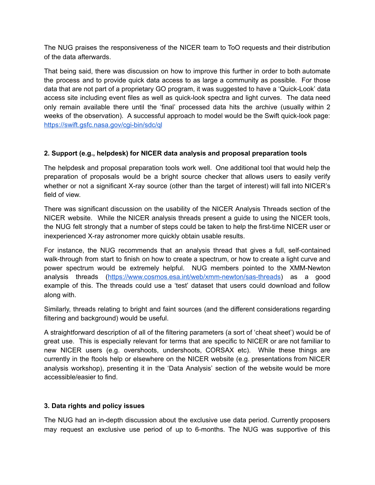The NUG praises the responsiveness of the NICER team to ToO requests and their distribution of the data afterwards.

That being said, there was discussion on how to improve this further in order to both automate the process and to provide quick data access to as large a community as possible. For those data that are not part of a proprietary GO program, it was suggested to have a 'Quick-Look' data access site including event files as well as quick-look spectra and light curves. The data need only remain available there until the 'final' processed data hits the archive (usually within 2 weeks of the observation). A successful approach to model would be the Swift quick-look page: <https://swift.gsfc.nasa.gov/cgi-bin/sdc/ql>

## **2. Support (e.g., helpdesk) for NICER data analysis and proposal preparation tools**

The helpdesk and proposal preparation tools work well. One additional tool that would help the preparation of proposals would be a bright source checker that allows users to easily verify whether or not a significant X-ray source (other than the target of interest) will fall into NICER's field of view.

There was significant discussion on the usability of the NICER Analysis Threads section of the NICER website. While the NICER analysis threads present a guide to using the NICER tools, the NUG felt strongly that a number of steps could be taken to help the first-time NICER user or inexperienced X-ray astronomer more quickly obtain usable results.

For instance, the NUG recommends that an analysis thread that gives a full, self-contained walk-through from start to finish on how to create a spectrum, or how to create a light curve and power spectrum would be extremely helpful. NUG members pointed to the XMM-Newton analysis threads [\(https://www.cosmos.esa.int/web/xmm-newton/sas-threads](https://www.cosmos.esa.int/web/xmm-newton/sas-threads)) as a good example of this. The threads could use a 'test' dataset that users could download and follow along with.

Similarly, threads relating to bright and faint sources (and the different considerations regarding filtering and background) would be useful.

A straightforward description of all of the filtering parameters (a sort of 'cheat sheet') would be of great use. This is especially relevant for terms that are specific to NICER or are not familiar to new NICER users (e.g. overshoots, undershoots, CORSAX etc). While these things are currently in the ftools help or elsewhere on the NICER website (e.g. presentations from NICER analysis workshop), presenting it in the 'Data Analysis' section of the website would be more accessible/easier to find.

## **3. Data rights and policy issues**

The NUG had an in-depth discussion about the exclusive use data period. Currently proposers may request an exclusive use period of up to 6-months. The NUG was supportive of this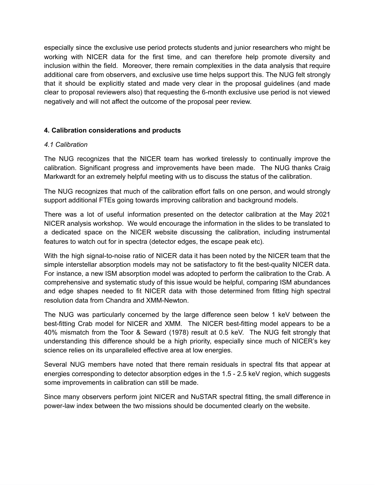especially since the exclusive use period protects students and junior researchers who might be working with NICER data for the first time, and can therefore help promote diversity and inclusion within the field. Moreover, there remain complexities in the data analysis that require additional care from observers, and exclusive use time helps support this. The NUG felt strongly that it should be explicitly stated and made very clear in the proposal guidelines (and made clear to proposal reviewers also) that requesting the 6-month exclusive use period is not viewed negatively and will not affect the outcome of the proposal peer review.

#### **4. Calibration considerations and products**

#### *4.1 Calibration*

The NUG recognizes that the NICER team has worked tirelessly to continually improve the calibration. Significant progress and improvements have been made. The NUG thanks Craig Markwardt for an extremely helpful meeting with us to discuss the status of the calibration.

The NUG recognizes that much of the calibration effort falls on one person, and would strongly support additional FTEs going towards improving calibration and background models.

There was a lot of useful information presented on the detector calibration at the May 2021 NICER analysis workshop. We would encourage the information in the slides to be translated to a dedicated space on the NICER website discussing the calibration, including instrumental features to watch out for in spectra (detector edges, the escape peak etc).

With the high signal-to-noise ratio of NICER data it has been noted by the NICER team that the simple interstellar absorption models may not be satisfactory to fit the best-quality NICER data. For instance, a new ISM absorption model was adopted to perform the calibration to the Crab. A comprehensive and systematic study of this issue would be helpful, comparing ISM abundances and edge shapes needed to fit NICER data with those determined from fitting high spectral resolution data from Chandra and XMM-Newton.

The NUG was particularly concerned by the large difference seen below 1 keV between the best-fitting Crab model for NICER and XMM. The NICER best-fitting model appears to be a 40% mismatch from the Toor & Seward (1978) result at 0.5 keV. The NUG felt strongly that understanding this difference should be a high priority, especially since much of NICER's key science relies on its unparalleled effective area at low energies.

Several NUG members have noted that there remain residuals in spectral fits that appear at energies corresponding to detector absorption edges in the 1.5 - 2.5 keV region, which suggests some improvements in calibration can still be made.

Since many observers perform joint NICER and NuSTAR spectral fitting, the small difference in power-law index between the two missions should be documented clearly on the website.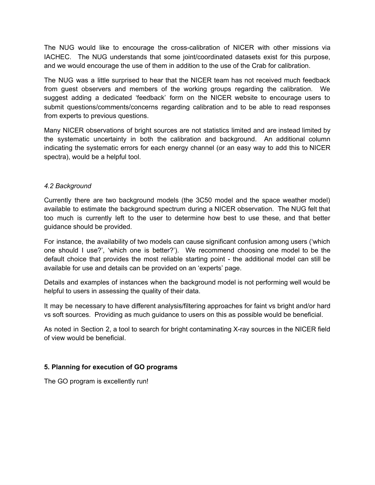The NUG would like to encourage the cross-calibration of NICER with other missions via IACHEC. The NUG understands that some joint/coordinated datasets exist for this purpose, and we would encourage the use of them in addition to the use of the Crab for calibration.

The NUG was a little surprised to hear that the NICER team has not received much feedback from guest observers and members of the working groups regarding the calibration. We suggest adding a dedicated 'feedback' form on the NICER website to encourage users to submit questions/comments/concerns regarding calibration and to be able to read responses from experts to previous questions.

Many NICER observations of bright sources are not statistics limited and are instead limited by the systematic uncertainty in both the calibration and background. An additional column indicating the systematic errors for each energy channel (or an easy way to add this to NICER spectra), would be a helpful tool.

#### *4.2 Background*

Currently there are two background models (the 3C50 model and the space weather model) available to estimate the background spectrum during a NICER observation. The NUG felt that too much is currently left to the user to determine how best to use these, and that better guidance should be provided.

For instance, the availability of two models can cause significant confusion among users ('which one should I use?', 'which one is better?'). We recommend choosing one model to be the default choice that provides the most reliable starting point - the additional model can still be available for use and details can be provided on an 'experts' page.

Details and examples of instances when the background model is not performing well would be helpful to users in assessing the quality of their data.

It may be necessary to have different analysis/filtering approaches for faint vs bright and/or hard vs soft sources. Providing as much guidance to users on this as possible would be beneficial.

As noted in Section 2, a tool to search for bright contaminating X-ray sources in the NICER field of view would be beneficial.

## **5. Planning for execution of GO programs**

The GO program is excellently run!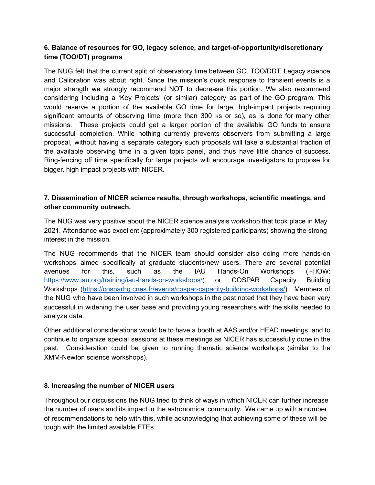# **6. Balance of resources for GO, legacy science, and target-of-opportunity/discretionary time (TOO/DT) programs**

The NUG felt that the current split of observatory time between GO, TOO/DDT, Legacy science and Calibration was about right. Since the mission's quick response to transient events is a major strength we strongly recommend NOT to decrease this portion. We also recommend considering including a 'Key Projects' (or similar) category as part of the GO program. This would reserve a portion of the available GO time for large, high-impact projects requiring significant amounts of observing time (more than 300 ks or so), as is done for many other missions. These projects could get a larger portion of the available GO funds to ensure successful completion. While nothing currently prevents observers from submitting a large proposal, without having a separate category such proposals will take a substantial fraction of the available observing time in a given topic panel, and thus have little chance of success. Ring-fencing off time specifically for large projects will encourage investigators to propose for bigger, high impact projects with NICER.

# **7. Dissemination of NICER science results, through workshops, scientific meetings, and other community outreach.**

The NUG was very positive about the NICER science analysis workshop that took place in May 2021. Attendance was excellent (approximately 300 registered participants) showing the strong interest in the mission.

The NUG recommends that the NICER team should consider also doing more hands-on workshops aimed specifically at graduate students/new users. There are several potential avenues for this, such as the IAU Hands-On Workshops (I-HOW: [https://www.iau.org/training/iau-hands-on-workshops/\)](https://www.iau.org/training/iau-hands-on-workshops/) or COSPAR Capacity Building Workshops [\(https://cosparhq.cnes.fr/events/cospar-capacity-building-workshops/\)](https://cosparhq.cnes.fr/events/cospar-capacity-building-workshops/). Members of the NUG who have been involved in such workshops in the past noted that they have been very successful in widening the user base and providing young researchers with the skills needed to analyze data.

Other additional considerations would be to have a booth at AAS and/or HEAD meetings, and to continue to organize special sessions at these meetings as NICER has successfully done in the past. Consideration could be given to running thematic science workshops (similar to the XMM-Newton science workshops).

## **8. Increasing the number of NICER users**

Throughout our discussions the NUG tried to think of ways in which NICER can further increase the number of users and its impact in the astronomical community. We came up with a number of recommendations to help with this, while acknowledging that achieving some of these will be tough with the limited available FTEs.